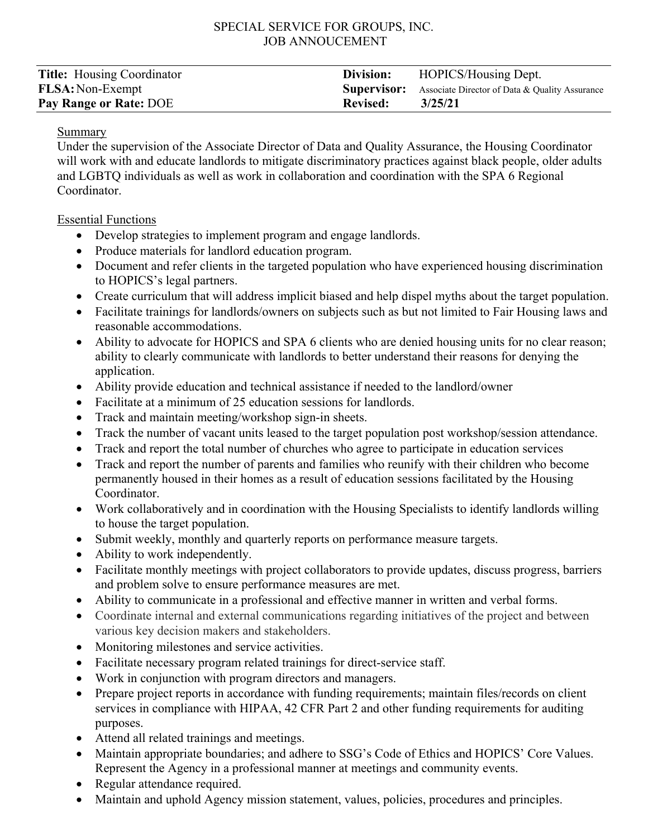## SPECIAL SERVICE FOR GROUPS, INC. JOB ANNOUCEMENT

| <b>Title:</b> Housing Coordinator | Division:       | HOPICS/Housing Dept.                                              |
|-----------------------------------|-----------------|-------------------------------------------------------------------|
| <b>FLSA: Non-Exempt</b>           |                 | <b>Supervisor:</b> Associate Director of Data & Quality Assurance |
| Pay Range or Rate: DOE            | <b>Revised:</b> | 3/25/21                                                           |

#### Summary

Under the supervision of the Associate Director of Data and Quality Assurance, the Housing Coordinator will work with and educate landlords to mitigate discriminatory practices against black people, older adults and LGBTQ individuals as well as work in collaboration and coordination with the SPA 6 Regional Coordinator.

### Essential Functions

- Develop strategies to implement program and engage landlords.
- Produce materials for landlord education program.
- Document and refer clients in the targeted population who have experienced housing discrimination to HOPICS's legal partners.
- Create curriculum that will address implicit biased and help dispel myths about the target population.
- Facilitate trainings for landlords/owners on subjects such as but not limited to Fair Housing laws and reasonable accommodations.
- Ability to advocate for HOPICS and SPA 6 clients who are denied housing units for no clear reason; ability to clearly communicate with landlords to better understand their reasons for denying the application.
- Ability provide education and technical assistance if needed to the landlord/owner
- Facilitate at a minimum of 25 education sessions for landlords.
- Track and maintain meeting/workshop sign-in sheets.
- Track the number of vacant units leased to the target population post workshop/session attendance.
- Track and report the total number of churches who agree to participate in education services
- Track and report the number of parents and families who reunify with their children who become permanently housed in their homes as a result of education sessions facilitated by the Housing Coordinator.
- Work collaboratively and in coordination with the Housing Specialists to identify landlords willing to house the target population.
- Submit weekly, monthly and quarterly reports on performance measure targets.
- Ability to work independently.
- Facilitate monthly meetings with project collaborators to provide updates, discuss progress, barriers and problem solve to ensure performance measures are met.
- Ability to communicate in a professional and effective manner in written and verbal forms.
- Coordinate internal and external communications regarding initiatives of the project and between various key decision makers and stakeholders.
- Monitoring milestones and service activities.
- Facilitate necessary program related trainings for direct-service staff.
- Work in conjunction with program directors and managers.
- Prepare project reports in accordance with funding requirements; maintain files/records on client services in compliance with HIPAA, 42 CFR Part 2 and other funding requirements for auditing purposes.
- Attend all related trainings and meetings.
- Maintain appropriate boundaries; and adhere to SSG's Code of Ethics and HOPICS' Core Values. Represent the Agency in a professional manner at meetings and community events.
- Regular attendance required.
- Maintain and uphold Agency mission statement, values, policies, procedures and principles.